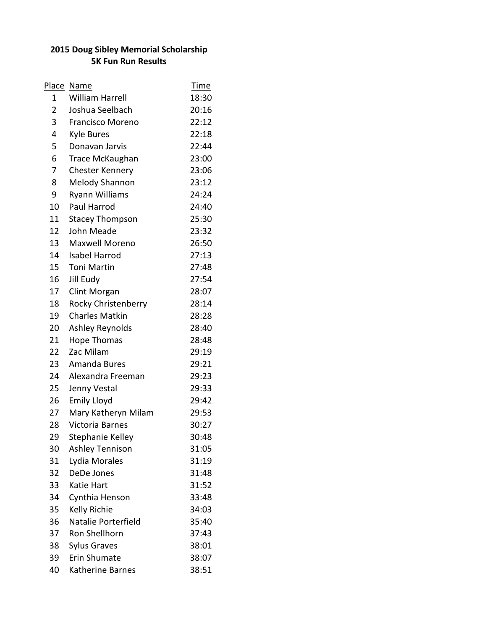## **2015 Doug Sibley Memorial Scholarship 5K Fun Run Results**

| Place          | Name                    | <b>Time</b> |
|----------------|-------------------------|-------------|
| 1              | <b>William Harrell</b>  | 18:30       |
| $\overline{2}$ | Joshua Seelbach         | 20:16       |
| 3              | <b>Francisco Moreno</b> | 22:12       |
| 4              | <b>Kyle Bures</b>       | 22:18       |
| 5              | Donavan Jarvis          | 22:44       |
| 6              | <b>Trace McKaughan</b>  | 23:00       |
| 7              | <b>Chester Kennery</b>  | 23:06       |
| 8              | <b>Melody Shannon</b>   | 23:12       |
| 9              | Ryann Williams          | 24:24       |
| 10             | Paul Harrod             | 24:40       |
| 11             | <b>Stacey Thompson</b>  | 25:30       |
| 12             | John Meade              | 23:32       |
| 13             | Maxwell Moreno          | 26:50       |
| 14             | <b>Isabel Harrod</b>    | 27:13       |
| 15             | <b>Toni Martin</b>      | 27:48       |
| 16             | Jill Eudy               | 27:54       |
| 17             | Clint Morgan            | 28:07       |
| 18             | Rocky Christenberry     | 28:14       |
| 19             | <b>Charles Matkin</b>   | 28:28       |
| 20             | Ashley Reynolds         | 28:40       |
| 21             | <b>Hope Thomas</b>      | 28:48       |
| 22             | Zac Milam               | 29:19       |
| 23             | Amanda Bures            | 29:21       |
| 24             | Alexandra Freeman       | 29:23       |
| 25             | Jenny Vestal            | 29:33       |
| 26             | <b>Emily Lloyd</b>      | 29:42       |
| 27             | Mary Katheryn Milam     | 29:53       |
| 28             | <b>Victoria Barnes</b>  | 30:27       |
| 29             | Stephanie Kelley        | 30:48       |
| 30             | <b>Ashley Tennison</b>  | 31:05       |
| 31             | Lydia Morales           | 31:19       |
| 32             | DeDe Jones              | 31:48       |
| 33             | Katie Hart              | 31:52       |
| 34             | Cynthia Henson          | 33:48       |
| 35             | <b>Kelly Richie</b>     | 34:03       |
| 36             | Natalie Porterfield     | 35:40       |
| 37             | Ron Shellhorn           | 37:43       |
| 38             | <b>Sylus Graves</b>     | 38:01       |
| 39             | <b>Erin Shumate</b>     | 38:07       |
| 40             | Katherine Barnes        | 38:51       |